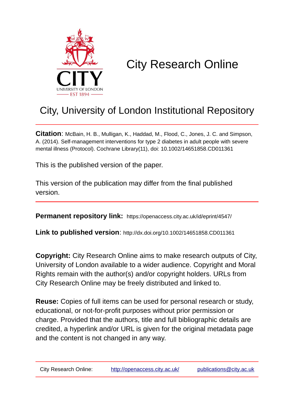

# City Research Online

# City, University of London Institutional Repository

**Citation**: McBain, H. B., Mulligan, K., Haddad, M., Flood, C., Jones, J. C. and Simpson, A. (2014). Self-management interventions for type 2 diabetes in adult people with severe mental illness (Protocol). Cochrane Library(11), doi: 10.1002/14651858.CD011361

This is the published version of the paper.

This version of the publication may differ from the final published version.

**Permanent repository link:** https://openaccess.city.ac.uk/id/eprint/4547/

**Link to published version**: http://dx.doi.org/10.1002/14651858.CD011361

**Copyright:** City Research Online aims to make research outputs of City, University of London available to a wider audience. Copyright and Moral Rights remain with the author(s) and/or copyright holders. URLs from City Research Online may be freely distributed and linked to.

**Reuse:** Copies of full items can be used for personal research or study, educational, or not-for-profit purposes without prior permission or charge. Provided that the authors, title and full bibliographic details are credited, a hyperlink and/or URL is given for the original metadata page and the content is not changed in any way.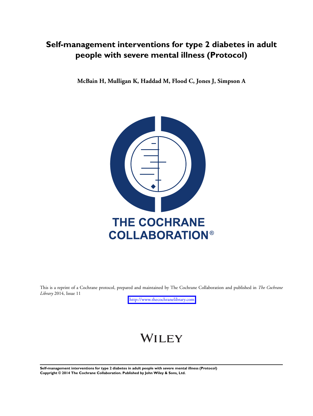## **Self-management interventions for type 2 diabetes in adult people with severe mental illness (Protocol)**

**McBain H, Mulligan K, Haddad M, Flood C, Jones J, Simpson A**



This is a reprint of a Cochrane protocol, prepared and maintained by The Cochrane Collaboration and published in *The Cochrane Library* 2014, Issue 11

<http://www.thecochranelibrary.com>

## WILEY

**Self-management interventions for type 2 diabetes in adult people with severe mental illness (Protocol) Copyright © 2014 The Cochrane Collaboration. Published by John Wiley & Sons, Ltd.**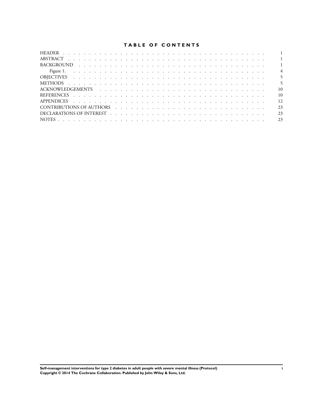## **TABLE OF CONTENTS**

|                                                                                                                 | $\overline{\phantom{0}}$ 1 |
|-----------------------------------------------------------------------------------------------------------------|----------------------------|
|                                                                                                                 | $\overline{4}$             |
|                                                                                                                 | 5                          |
|                                                                                                                 | $\sim$ 5                   |
|                                                                                                                 | 10                         |
|                                                                                                                 | 10                         |
|                                                                                                                 | 12                         |
| CONTRIBUTIONS OF AUTHORS (CONTRIBUTIONS OF AUTHORS)                                                             | 23                         |
| DECLARATIONS OF INTEREST residence in the contract of the contract of the contract of the contract of the contr | 23                         |
|                                                                                                                 |                            |

**Self-management interventions for type 2 diabetes in adult people with severe mental illness (Protocol) i Copyright © 2014 The Cochrane Collaboration. Published by John Wiley & Sons, Ltd.**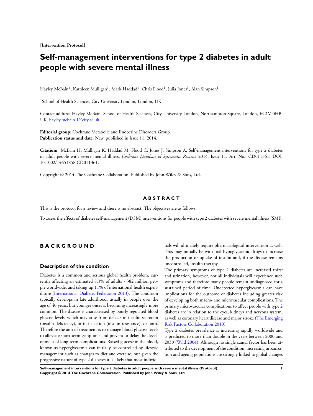**[Intervention Protocol]**

## **Self-management interventions for type 2 diabetes in adult people with severe mental illness**

Hayley McBain<sup>1</sup>, Kathleen Mulligan<sup>1</sup>, Mark Haddad<sup>1</sup>, Chris Flood<sup>1</sup>, Julia Jones<sup>1</sup>, Alan Simpson<sup>1</sup>

<sup>1</sup>School of Health Sciences, City University London, London, UK

Contact address: Hayley McBain, School of Health Sciences, City University London, Northampton Square, London, EC1V 0HB, UK. [hayley.mcbain.1@city.ac.uk](mailto:hayley.mcbain.1@city.ac.uk).

**Editorial group:** Cochrane Metabolic and Endocrine Disorders Group. **Publication status and date:** New, published in Issue 11, 2014.

**Citation:** McBain H, Mulligan K, Haddad M, Flood C, Jones J, Simpson A. Self-management interventions for type 2 diabetes in adult people with severe mental illness. *Cochrane Database of Systematic Reviews* 2014, Issue 11. Art. No.: CD011361. DOI: 10.1002/14651858.CD011361.

Copyright © 2014 The Cochrane Collaboration. Published by John Wiley & Sons, Ltd.

## **A B S T R A C T**

This is the protocol for a review and there is no abstract. The objectives are as follows:

To assess the effects of diabetes self-management (DSM) interventions for people with type 2 diabetes with severe mental illness (SMI).

## **B A C K G R O U N D**

## **Description of the condition**

Diabetes is a common and serious global health problem, currently affecting an estimated 8.3% of adults - 382 million people worldwide, and taking up 11% of international health expenditure ([International Diabetes Federation 2013](#page-12-0)). The condition typically develops in late adulthood, usually in people over the age of 40 years, but younger onset is becoming increasingly more common. The disease is characterised by poorly regulated blood glucose levels, which may arise from defects in insulin secretion (insulin deficiency), or in its action (insulin resistance), or both. Therefore the aim of treatment is to manage blood glucose levels to alleviate short-term symptoms and prevent or delay the development of long-term complications. Raised glucose in the blood, known as hyperglycaemia can initially be controlled by lifestyle management such as changes to diet and exercise, but given the progressive nature of type 2 diabetes it is likely that most individuals will ultimately require pharmacological intervention as well. This may initially be with oral hypoglycaemic drugs to increase the production or uptake of insulin and, if the disease remains uncontrolled, insulin therapy.

The primary symptoms of type 2 diabetes are increased thirst and urination, however, not all individuals will experience such symptoms and therefore many people remain undiagnosed for a sustained period of time. Undetected hyperglycaemia can have implications for the outcome of diabetes including greater risk of developing both macro- and microvascular complications. The primary microvascular complications to affect people with type 2 diabetes are in relation to the eyes, kidneys and nervous system, as well as coronary heart disease and major stroke [\(The Emerging](#page-12-0) [Risk Factors Collaboration 2010](#page-12-0)).

Type 2 diabetes prevalence is increasing rapidly worldwide and is predicted to more than double in the years between 2000 and 2030 [\(Wild 2004\)](#page-12-0). Although no single causal factor has been attributed to the development of the condition, increasing urbanization and ageing populations are strongly linked to global changes

**Self-management interventions for type 2 diabetes in adult people with severe mental illness (Protocol) 1 Copyright © 2014 The Cochrane Collaboration. Published by John Wiley & Sons, Ltd.**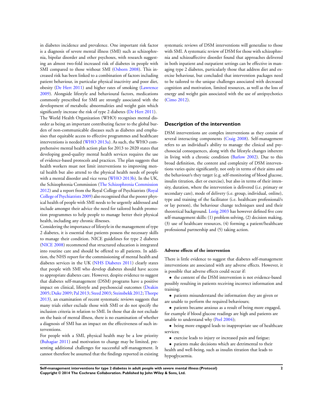in diabetes incidence and prevalence. One important risk factor is a diagnosis of severe mental illness (SMI) such as schizophrenia, bipolar disorder and other psychoses, with research suggesting an almost two-fold increased risk of diabetes in people with SMI compared to those without SMI [\(Osborn 2008](#page-12-0)). This increased risk has been linked to a combination of factors including patient behaviour, in particular physical inactivity and poor diet, obesity [\(De Hert 2011](#page-12-0)) and higher rates of smoking [\(Lawrence](#page-12-0) [2009](#page-12-0)). Alongside lifestyle and behavioural factors, medications commonly prescribed for SMI are strongly associated with the development of metabolic abnormalities and weight gain which significantly increase the risk of type 2 diabetes ([De Hert 2011](#page-12-0)). The World Health Organization (WHO) recognises mental disorder as being an important contributing factor to the global burden of non-communicable diseases such as diabetes and emphasises that equitable access to effective programmes and healthcare interventions is needed ([WHO 2013a](#page-12-0)). As such, the WHO comprehensive mental health action plan for 2013 to 2020 states that developing good-quality mental health services requires the use of evidence-based protocols and practices. The plan suggests that health workers must not limit interventions to improving mental health but also attend to the physical health needs of people with a mental disorder and vice versa [\(WHO 2013b](#page-12-0)). In the UK, the Schizophrenia Commission ([The Schizophrenia Commission](#page-12-0) [2012](#page-12-0)) and a report from the Royal College of Psychiatrists [\(Royal](#page-12-0) [College of Psychiatrists 2009\)](#page-12-0) also recognised that the poorer physical health of people with SMI needs to be urgently addressed and include amongst their advice the need for tailored health promotion programmes to help people to manage better their physical health, including any chronic illnesses.

Considering the importance of lifestyle in the management of type 2 diabetes, it is essential that patients possess the necessary skills to manage their condition. NICE guidelines for type 2 diabetes [\(NICE 2008\)](#page-12-0) recommend that structured education is integrated into routine care and should be offered to all patients. In addition, the NHS report for the commissioning of mental health and diabetes services in the UK ([NHS Diabetes 2011\)](#page-12-0) clearly states that people with SMI who develop diabetes should have access to appropriate diabetes care. However, despite evidence to suggest that diabetes self-management (DSM) programs have a positive impact on clinical, lifestyle and psychosocial outcomes ([Deakin](#page-12-0) [2005](#page-12-0);[Duke 2009;](#page-12-0) [Pal 2013;](#page-12-0) [Steed 2003](#page-12-0); [Steinsbekk 2012;Thorpe](#page-12-0) [2013](#page-12-0)), an examination of recent systematic reviews suggests that many trials either exclude those with SMI or do not specify the inclusion criteria in relation to SMI. In those that do not exclude on the basis of mental illness, there is no examination of whether a diagnosis of SMI has an impact on the effectiveness of such interventions.

For people with a SMI, physical health may be a low priority [\(Buhagiar 2011\)](#page-12-0) and motivation to change may be limited, presenting additional challenges for successful self-management. It cannot therefore be assumed that the findings reported in existing

systematic reviews of DSM interventions will generalise to those with SMI. A systematic review of DSM for those with schizophrenia and schizoaffective disorder found that approaches delivered in both inpatient and outpatient settings can be effective in managing type 2 diabetes, particularly those that address diet and exercise behaviour, but concluded that intervention packages need to be tailored to the unique challenges associated with decreased cognition and motivation, limited resources, as well as the loss of energy and weight gain associated with the use of antipsychotics [\(Cimo 2012](#page-12-0)).

## **Description of the intervention**

DSM interventions are complex interventions as they consist of several interacting components ([Craig 2008](#page-12-0)). Self-management refers to an individual's ability to manage the clinical and psychosocial consequences, along with the lifestyle changes inherent in living with a chronic condition [\(Barlow 2002](#page-12-0)). Due to this broad definition, the content and complexity of DSM interventions varies quite significantly, not only in terms of their aims and the behaviour/s they target (e.g. self-monitoring of blood glucose, insulin titration, diet or exercise), but also in terms of their intensity, duration, where the intervention is delivered (i.e. primary or secondary care), mode of delivery (i.e. group, individual, online), type and training of the facilitator (i.e. healthcare professional/s or lay person), the behaviour change techniques used and their theoretical background. [Lorig 2003](#page-12-0) has however defined five core self-management skills: (1) problem solving, (2) decision making, (3) use of healthcare resources, (4) forming a patient/healthcare professional partnership and (5) taking action.

## **Adverse effects of the intervention**

There is little evidence to suggest that diabetes self-management interventions are associated with any adverse effects. However, it is possible that adverse effects could occur if:

• the content of the DSM intervention is not evidence-based possibly resulting in patients receiving incorrect information and training;

• patients misunderstand the information they are given or are unable to perform the required behaviours;

• patients became anxious as a result of being more engaged, for example if blood glucose readings are high and patients are unable to understand why [\(Peel 2004](#page-12-0));

• being more engaged leads to inappropriate use of healthcare services;

• exercise leads to injury or increased pain and fatigue;

• patients make decisions which are detrimental to their health and well-being, such as insulin titration that leads to hypoglycaemia.

**Self-management interventions for type 2 diabetes in adult people with severe mental illness (Protocol) 2 Copyright © 2014 The Cochrane Collaboration. Published by John Wiley & Sons, Ltd.**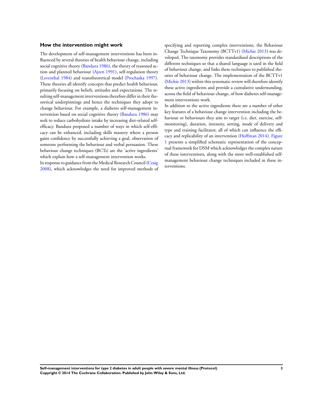## **How the intervention might work**

The development of self-management interventions has been influenced by several theories of health behaviour change, including social cognitive theory [\(Bandura 1986\)](#page-12-0), the theory of reasoned action and planned behaviour [\(Ajzen 1991](#page-12-0)), self-regulation theory [\(Leventhal 1984](#page-12-0)) and transtheoretical model [\(Prochaska 1997](#page-12-0)). These theories all identify concepts that predict health behaviour, primarily focusing on beliefs, attitudes and expectations. The resulting self-management interventions therefore differ in their theoretical underpinnings and hence the techniques they adopt to change behaviour. For example, a diabetes self-management intervention based on social cognitive theory [\(Bandura 1986](#page-12-0)) may seek to reduce carbohydrate intake by increasing diet-related selfefficacy. Bandura proposed a number of ways in which self-efficacy can be enhanced, including skills mastery where a person gains confidence by successfully achieving a goal, observation of someone performing the behaviour and verbal persuasion. These behaviour change techniques (BCTs) are the 'active ingredients' which explain how a self-management intervention works.

In response to guidance from the Medical Research Council [\(Craig](#page-12-0) [2008](#page-12-0)), which acknowledges the need for improved methods of

specifying and reporting complex interventions, the Behaviour Change Technique Taxonomy (BCTTv1) ([Michie 2013](#page-12-0)) was developed. The taxonomy provides standardised descriptions of the different techniques so that a shared language is used in the field of behaviour change, and links these techniques to published theories of behaviour change. The implementation of the BCTTv1 [\(Michie 2013](#page-12-0)) within this systematic review will therefore identify these active ingredients and provide a cumulative understanding, across the field of behaviour change, of how diabetes self-management interventions work.

In addition to the active ingredients there are a number of other key features of a behaviour change intervention including the behaviour or behaviours they aim to target (i.e. diet, exercise, selfmonitoring), duration, intensity, setting, mode of delivery and type and training facilitator, all of which can influence the efficacy and replicability of an intervention [\(Hoffman 2014\)](#page-12-0). [Figure](#page-6-0) [1](#page-6-0) presents a simplified schematic representation of the conceptual framework for DSM which acknowledges the complex nature of these interventions, along with the most well-established selfmanagement behaviour change techniques included in these interventions.

**Self-management interventions for type 2 diabetes in adult people with severe mental illness (Protocol) 3 Copyright © 2014 The Cochrane Collaboration. Published by John Wiley & Sons, Ltd.**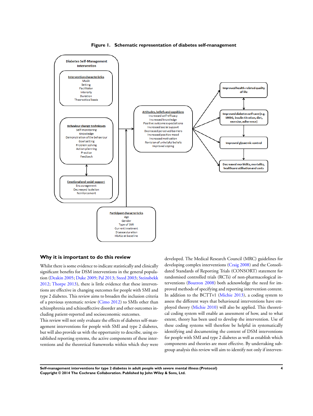

<span id="page-6-0"></span>

## **Why it is important to do this review**

Whilst there is some evidence to indicate statistically and clinically significant benefits for DSM interventions in the general population [\(Deakin 2005](#page-12-0); [Duke 2009](#page-12-0); [Pal 2013;](#page-12-0) [Steed 2003](#page-12-0); [Steinsbekk](#page-12-0) [2012](#page-12-0); [Thorpe 2013\)](#page-12-0), there is little evidence that these interventions are effective in changing outcomes for people with SMI and type 2 diabetes. This review aims to broaden the inclusion criteria of a previous systematic review ([Cimo 2012](#page-12-0)) to SMIs other than schizophrenia and schizoaffective disorder and other outcomes including patient-reported and socioeconomic outcomes.

This review will not only evaluate the effects of diabetes self-management interventions for people with SMI and type 2 diabetes, but will also provide us with the opportunity to describe, using established reporting systems, the active components of these interventions and the theoretical frameworks within which they were

developed. The Medical Research Council (MRC) guidelines for developing complex interventions [\(Craig 2008\)](#page-12-0) and the Consolidated Standards of Reporting Trials (CONSORT) statement for randomised controlled trials (RCTs) of non-pharmacological interventions ([Boutron 2008\)](#page-12-0) both acknowledge the need for improved methods of specifying and reporting intervention content. In addition to the BCTTv1 [\(Michie 2013\)](#page-12-0), a coding system to assess the different ways that behavioural interventions have employed theory ([Michie 2010](#page-12-0)) will also be applied. This theoretical coding system will enable an assessment of how, and to what extent, theory has been used to develop the intervention. Use of these coding systems will therefore be helpful in systematically identifying and documenting the content of DSM interventions for people with SMI and type 2 diabetes as well as establish which components and theories are most effective. By undertaking subgroup analysis this review will aim to identify not only if interven-

**Self-management interventions for type 2 diabetes in adult people with severe mental illness (Protocol) 4 Copyright © 2014 The Cochrane Collaboration. Published by John Wiley & Sons, Ltd.**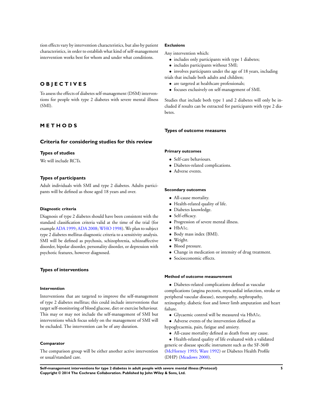tion effects vary by intervention characteristics, but also by patient characteristics, in order to establish what kind of self-management intervention works best for whom and under what conditions.

## **O B J E C T I V E S**

To assess the effects of diabetes self-management (DSM) interventions for people with type 2 diabetes with severe mental illness (SMI).

## **M E T H O D S**

## **Criteria for considering studies for this review**

## **Types of studies**

We will include RCTs.

## **Types of participants**

Adult individuals with SMI and type 2 diabetes. Adults participants will be defined as those aged 18 years and over.

## **Diagnostic criteria**

Diagnosis of type 2 diabetes should have been consistent with the standard classification criteria valid at the time of the trial (for example [ADA 1999](#page-12-0); [ADA 2008;](#page-12-0) [WHO 1998\)](#page-12-0). We plan to subject type 2 diabetes mellitus diagnostic criteria to a sensitivity analysis. SMI will be defined as psychosis, schizophrenia, schizoaffective disorder, bipolar disorder, personality disorder, or depression with psychotic features, however diagnosed.

## **Types of interventions**

## **Intervention**

Interventions that are targeted to improve the self-management of type 2 diabetes mellitus; this could include interventions that target self-monitoring of blood glucose, diet or exercise behaviour. This may or may not include the self-management of SMI but interventions which focus solely on the management of SMI will be excluded. The intervention can be of any duration.

## **Comparator**

The comparison group will be either another active intervention or usual/standard care.

## **Exclusions**

Any intervention which:

- includes only participants with type 1 diabetes;
- includes participants without SMI;
- involves participants under the age of 18 years, including
- trials that include both adults and children;
	- are targeted at healthcare professionals;
	- focuses exclusively on self-management of SMI.

Studies that include both type 1 and 2 diabetes will only be included if results can be extracted for participants with type 2 diabetes.

## **Types of outcome measures**

## **Primary outcomes**

- Self-care behaviours.
- Diabetes-related complications.
- Adverse events.

#### **Secondary outcomes**

- All-cause mortality.
- Health-related quality of life.
- Diabetes knowledge.
- Self-efficacy.
- Progression of severe mental illness.
- HbA1c.
- Body mass index (BMI).
- Weight.
- Blood pressure.
- Change in medication or intensity of drug treatment.
- Socioeconomic effects.

## **Method of outcome measurement**

• Diabetes-related complications defined as vascular complications (angina pectoris, myocardial infarction, stroke or peripheral vascular disease), neuropathy, nephropathy, retinopathy, diabetic foot and lower limb amputation and heart failure.

- Glycaemic control will be measured via HbA1c.
- Adverse events of the intervention defined as
- hypoglycaemia, pain, fatigue and anxiety.
	- All-cause mortality defined as death from any cause.
- Health-related quality of life evaluated with a validated generic or disease specific instrument such as the SF-36®
- [\(McHorney 1993;](#page-12-0) [Ware 1992](#page-12-0)) or Diabetes Health Profile (DHP) [\(Meadows 2000](#page-12-0)).

**Self-management interventions for type 2 diabetes in adult people with severe mental illness (Protocol) 5 Copyright © 2014 The Cochrane Collaboration. Published by John Wiley & Sons, Ltd.**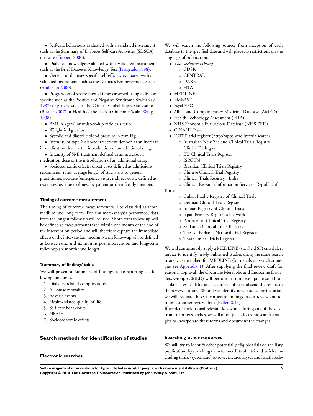• Self-care behaviours evaluated with a validated instrument such as the Summary of Diabetes Self-care Activities (SDSCA) measure ([Toobert 2000](#page-12-0)).

• Diabetes knowledge evaluated with a validated instrument such as the Brief Diabetes Knowledge Test [\(Fitzgerald 1998](#page-12-0)).

• General or diabetes-specific self-efficacy evaluated with a validated instrument such as the Diabetes Empowerment Scale [\(Anderson 2000\)](#page-12-0).

• Progression of severe mental illness assessed using a diseasespecific such as the Positive and Negative Syndrome Scale ([Kay](#page-12-0) [1987](#page-12-0)) or generic such as the Clinical Global Impressions scale [\(Busner 2007](#page-12-0)) or Health of the Nation Outcome Scale ([Wing](#page-12-0) [1998](#page-12-0)).

- BMI in kg/m² or waist-to-hip ratio as a ratio.
- Weight in kg or lbs.
- Systolic and diastolic blood pressure in mm Hg.

• Intensity of type 2 diabetes treatment defined as an increase in medication dose or the introduction of an additional drug.

• Intensity of SMI treatment defined as an increase in medication dose or the introduction of an additional drug.

• Socioeconomic effects: direct costs defined as admission/ readmission rates, average length of stay, visits to general practitioner, accident/emergency visits; indirect costs: defined as resources lost due to illness by patient or their family member.

## **Timing of outcome measurement**

The timing of outcome measurement will be classified as short, medium and long term. For any meta-analysis performed, data from the longest follow-up will be used. Short-term follow-up will be defined as measurement taken within one month of the end of the intervention period and will therefore capture the immediate effects of the intervention; medium-term follow-up will be defined as between one and six months post intervention and long-term follow-up six months and longer.

## **'Summary of findings' table**

We will present a 'Summary of findings' table reporting the following outcomes.

- 1. Diabetes-related complications.
- 2. All-cause mortality.
- 3. Adverse events.
- 4. Health-related quality of life.
- 5. Self-care behaviours.
- 6. HbA1c.
- 7. Socioeconomic effects.

## **Search methods for identification of studies**

## **Electronic searches**

We will search the following sources from inception of each database to the specified date and will place no restrictions on the language of publication.

- *The Cochrane Library.*
	- CDSR
	- CENTRAL
	- DARE
	- HTA
- MEDLINE.
- EMBASE.
- PsycINFO.
- Allied and Complimentary Medicine Database (AMED).
- Health Technology Assessment (HTA).
- NHS Economic Evaluations Database (NHS EED).
- CINAHL Plus.
- ICTRP trial register (http://apps.who.int/trialsearch/)
	- Australian New Zealand Clinical Trials Registry
	- ClinicalTrials.gov
	- EU Clinical Trials Register
	- ISRCTN
	- Brazilian Clinical Trials Registry
	- Chinese Clinical Trial Registry
	- Clinical Trials Registry India
	- Clinical Research Information Service Republic of

Korea

- Cuban Public Registry of Clinical Trials
- German Clinical Trials Register
- Iranian Registry of Clinical Trials
- Japan Primary Registries Network
- Pan African Clinical Trial Registry
- Sri Lanka Clinical Trials Registry
- The Netherlands National Trial Register
- Thai Clinical Trials Register

We will continuously apply a MEDLINE (via Ovid SP) email alert service to identify newly published studies using the same search strategy as described for MEDLINE (for details on search strategies see [Appendix 1](#page-15-0)). After supplying the final review draft for editorial approval, the Cochrane Metabolic and Endocrine Disorders Group (CMED) will perform a complete update search on all databases available at the editorial office and send the results to the review authors. Should we identify new studies for inclusion we will evaluate these, incorporate findings in our review and resubmit another review draft ([Beller 2013\)](#page-12-0).

If we detect additional relevant key words during any of the electronic or other searches, we will modify the electronic search strategies to incorporate these terms and document the changes.

## **Searching other resources**

We will try to identify other potentially eligible trials or ancillary publications by searching the reference lists of retrieved articles including trials, (systematic) reviews, meta-analyses and health tech-

**Self-management interventions for type 2 diabetes in adult people with severe mental illness (Protocol) 6 Copyright © 2014 The Cochrane Collaboration. Published by John Wiley & Sons, Ltd.**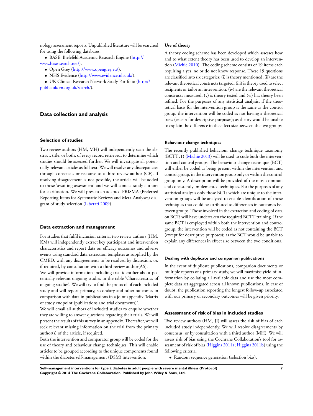nology assessment reports. Unpublished literature will be searched for using the following databases.

• BASE: Bielefeld Academic Research Engine [\(http://](http://www.base-search.net/) [www.base-search.net/\)](http://www.base-search.net/).

• Open Grey ([http://www.opengrey.eu/\)](http://www.opengrey.eu/).

• NHS Evidence ([http://www.evidence.nhs.uk/\)](http://www.evidence.nhs.uk/).

• UK Clinical Research Network Study Portfolio ([http://](http://public.ukcrn.org.uk/search/) [public.ukcrn.org.uk/search/\)](http://public.ukcrn.org.uk/search/).

## **Data collection and analysis**

## **Selection of studies**

Two review authors (HM, MH) will independently scan the abstract, title, or both, of every record retrieved, to determine which studies should be assessed further. We will investigate all potentially-relevant articles as full text. We will resolve any discrepancies through consensus or recourse to a third review author (CF). If resolving disagreement is not possible, the article will be added to those 'awaiting assessment' and we will contact study authors for clarification. We will present an adapted PRISMA (Preferred Reporting Items for Systematic Reviews and Meta-Analyses) diagram of study selection ([Liberati 2009\)](#page-12-0).

#### **Data extraction and management**

For studies that fulfil inclusion criteria, two review authors (HM, KM) will independently extract key participant and intervention characteristics and report data on efficacy outcomes and adverse events using standard data extraction templates as supplied by the CMED, with any disagreements to be resolved by discussion, or, if required, by consultation with a third review author(AS).

We will provide information including trial identifier about potentially relevant ongoing studies in the table 'Characteristics of ongoing studies'. We will try to find the protocol of each included study and will report primary, secondary and other outcomes in comparison with data in publications in a joint appendix 'Matrix of study endpoint (publications and trial documents)'.

We will email all authors of included studies to enquire whether they are willing to answer questions regarding their trials. We will present the results of this survey in an appendix. Thereafter, we will seek relevant missing information on the trial from the primary author(s) of the article, if required.

Both the intervention and comparator group will be coded for the use of theory and behaviour change techniques. This will enable articles to be grouped according to the unique components found within the diabetes self-management (DSM) intervention:

## **Use of theory**

A theory coding scheme has been developed which assesses how and to what extent theory has been used to develop an intervention [\(Michie 2010\)](#page-12-0). The coding scheme consists of 19 items each requiring a yes, no or do not know response. These 19 questions are classified into six categories: (i) is theory mentioned, (ii) are the relevant theoretical constructs targeted, (iii) is theory used to select recipients or tailor an intervention, (iv) are the relevant theoretical constructs measured, (v) is theory tested and (vi) has theory been refined. For the purposes of any statistical analysis, if the theoretical basis for the intervention group is the same as the control group, the intervention will be coded as not having a theoretical basis (except for descriptive purposes); as theory would be unable to explain the difference in the effect size between the two groups.

## **Behaviour change techniques**

The recently published behaviour change technique taxonomy (BCTTv1) ([Michie 2013\)](#page-12-0) will be used to code both the intervention and control groups. The behaviour change technique (BCT) will either be coded as being present within the intervention and control group, in the intervention group only or within the control group only. A description will be provided of the most common and consistently implemented techniques. For the purposes of any statistical analysis only those BCTs which are unique to the intervention groups will be analysed to enable identification of those techniques that could be attributed to differences in outcomes between groups. Those involved in the extraction and coding of data on BCTs will have undertaken the required BCTT training. If the same BCT is employed within both the intervention and control group, the intervention will be coded as not containing the BCT (except for descriptive purposes); as the BCT would be unable to explain any differences in effect size between the two conditions.

## **Dealing with duplicate and companion publications**

In the event of duplicate publications, companion documents or multiple reports of a primary study, we will maximise yield of information by collating all available data and use the most complete data set aggregated across all known publications. In case of doubt, the publication reporting the longest follow-up associated with our primary or secondary outcomes will be given priority.

#### **Assessment of risk of bias in included studies**

Two review authors (HM, JJ) will assess the risk of bias of each included study independently. We will resolve disagreements by consensus, or by consultation with a third author (MH). We will assess risk of bias using the Cochrane Collaboration's tool for assessment of risk of bias ([Higgins 2011a](#page-12-0); [Higgins 2011b](#page-12-0)) using the following criteria.

• Random sequence generation (selection bias).

**Self-management interventions for type 2 diabetes in adult people with severe mental illness (Protocol) 7 Copyright © 2014 The Cochrane Collaboration. Published by John Wiley & Sons, Ltd.**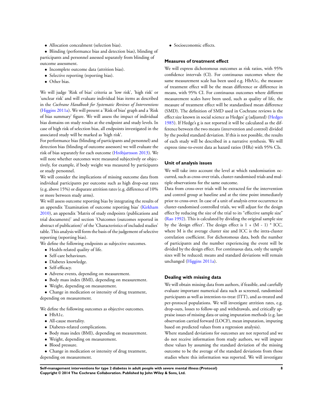• Allocation concealment (selection bias).

• Blinding (performance bias and detection bias), blinding of participants and personnel assessed separately from blinding of outcome assessment.

- Incomplete outcome data (attrition bias).
- Selective reporting (reporting bias).
- Other bias.

We will judge 'Risk of bias' criteria as 'low risk', 'high risk' or 'unclear risk' and will evaluate individual bias items as described in the *Cochrane Handbook for Systematic Reviews of Interventions* [\(Higgins 2011a\)](#page-12-0). We will present a 'Risk of bias' graph and a 'Risk of bias summary' figure. We will assess the impact of individual bias domains on study results at the endpoint and study levels. In case of high risk of selection bias, all endpoints investigated in the associated study will be marked as 'high risk'.

For performance bias (blinding of participants and personnel) and detection bias (blinding of outcome assessors) we will evaluate the risk of bias separately for each outcome [\(Hróbjartsson 2013](#page-12-0)). We will note whether outcomes were measured subjectively or objectively, for example, if body weight was measured by participants or study personnel.

We will consider the implications of missing outcome data from individual participants per outcome such as high drop-out rates (e.g. above 15%) or disparate attrition rates (e.g. difference of 10% or more between study arms).

We will assess outcome reporting bias by integrating the results of an appendix 'Examination of outcome reporting bias' [\(Kirkham](#page-12-0) [2010](#page-12-0)), an appendix 'Matrix of study endpoints (publications and trial documents)' and section 'Outcomes (outcomes reported in abstract of publication)' of the 'Characteristics of included studies' table. This analysis will form the basis of the judgement of selective reporting (reporting bias).

We define the following endpoints as subjective outcomes.

- Health-related quality of life.
- Self-care behaviours.
- Diabetes knowledge.
- Self-efficacy.
- Adverse events, depending on measurement.
- Body mass index (BMI), depending on measurement.
- Weight, depending on measurement.

• Change in medication or intensity of drug treatment, depending on measurement.

We define the following outcomes as objective outcomes.

- HbA1c.
- All-cause mortality.
- Diabetes-related complications.
- Body mass index (BMI), depending on measurement.
- Weight, depending on measurement.
- Blood pressure.
- Change in medication or intensity of drug treatment, depending on measurement.

• Socioeconomic effects.

## **Measures of treatment effect**

We will express dichotomous outcomes as risk ratios, with 95% confidence intervals (CI). For continuous outcomes where the same measurement scale has been used e.g. HbA1c, the measure of treatment effect will be the mean difference or difference in means, with 95% CI. For continuous outcomes where different measurement scales have been used, such as quality of life, the measure of treatment effect will be standardised mean difference (SMD). The definition of SMD used in Cochrane reviews is the effect size known in social science as Hedges' g (adjusted) ([Hedges](#page-12-0) [1985](#page-12-0)). If Hedge's g is not reported it will be calculated as the difference between the two means (intervention and control) divided by the pooled standard deviation. If this is not possible, the results of each study will be described in a narrative synthesis. We will express time-to-event data as hazard ratios (HRs) with 95% CIs.

## **Unit of analysis issues**

We will take into account the level at which randomisation occurred, such as cross-over trials, cluster-randomised trials and multiple observations for the same outcome.

Data from cross-over trials will be extracted for the intervention and control group at baseline and at the time point immediately prior to cross-over. In case of a unit of analysis error occurrence in cluster-randomised controlled trials, we will adjust for the design effect by reducing the size of the trial to its "effective sample size" [\(Rao 1992\)](#page-12-0). This is calculated by dividing the original sample size by the 'design effect'. The design effect is  $1 + (M - 1) * ICC$ , where M is the average cluster size and ICC is the intra-cluster correlation coefficient. For dichotomous data, both the number of participants and the number experiencing the event will be divided by the design effect. For continuous data, only the sample sizes will be reduced; means and standard deviations will remain unchanged [\(Higgins 2011a\)](#page-12-0).

## **Dealing with missing data**

We will obtain missing data from authors, if feasible, and carefully evaluate important numerical data such as screened, randomised participants as well as intention-to-treat (ITT), and as-treated and per-protocol populations. We will investigate attrition rates, e.g. drop-outs, losses to follow-up and withdrawals, and critically appraise issues of missing data or using imputation methods (e.g. last observation carried forward (LOCF), mean imputation, imputing based on predicted values from a regression analysis).

Where standard deviations for outcomes are not reported and we do not receive information from study authors, we will impute these values by assuming the standard deviation of the missing outcome to be the average of the standard deviations from those studies where this information was reported. We will investigate

**Self-management interventions for type 2 diabetes in adult people with severe mental illness (Protocol) 8 Copyright © 2014 The Cochrane Collaboration. Published by John Wiley & Sons, Ltd.**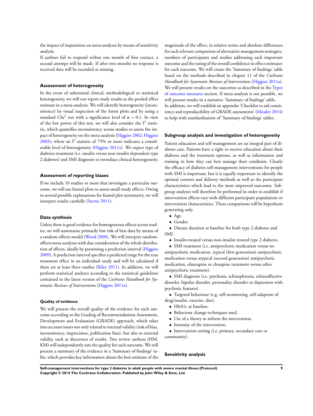the impact of imputation on meta-analyses by means of sensitivity analysis.

If authors fail to respond within one month of first contact, a second attempt will be made. If after two months no response is received data will be recorded as missing.

## **Assessment of heterogeneity**

In the event of substantial clinical, methodological or statistical heterogeneity, we will not report study results as the pooled effect estimate in a meta-analysis. We will identify heterogeneity (inconsistency) by visual inspection of the forest plots and by using a standard Chi<sup>2</sup> test with a significance level of  $\alpha = 0.1$ . In view of the low power of this test, we will also consider the  $I^2$  statistic, which quantifies inconsistency across studies to assess the impact of heterogeneity on the meta-analysis [\(Higgins 2002](#page-12-0); [Higgins](#page-12-0)  $2003$ ); where an I<sup>2</sup> statistic of 75% or more indicates a considerable level of heterogeneity ([Higgins 2011a\)](#page-12-0). We expect type of diabetes treatment (i.e. insulin versus non-insulin dependent type 2 diabetes) and SMI diagnosis to introduce clinical heterogeneity.

## **Assessment of reporting biases**

If we include 10 studies or more that investigate a particular outcome, we will use funnel plots to assess small-study effects. Owing to several possible explanations for funnel plot asymmetry, we will interpret results carefully [\(Sterne 2011](#page-12-0)).

## **Data synthesis**

Unless there is good evidence for homogeneous effects across studies, we will summarise primarily low risk of bias data by means of a random-effects model [\(Wood 2008\)](#page-12-0). We will interpret randomeffects meta-analyses with due consideration of the whole distribution of effects, ideally by presenting a prediction interval ([Higgins](#page-12-0) [2009](#page-12-0)). A prediction interval specifies a predicted range for the true treatment effect in an individual study and will be calculated if there are at least three studies [\(Riley 2011\)](#page-12-0). In addition, we will perform statistical analyses according to the statistical guidelines contained in the latest version of the *Cochrane Handbook for Systematic Reviews of Interventions* ([Higgins 2011a\)](#page-12-0).

## **Quality of evidence**

We will present the overall quality of the evidence for each outcome according to the Grading of Recommendations Assessment, Development and Evaluation (GRADE) approach, which takes into account issues not only related to internal validity (risk of bias, inconsistency, imprecision, publication bias), but also to external validity such as directness of results*.* Two review authors (HM, KM) will independently rate the quality for each outcome. We will present a summary of the evidence in a 'Summary of findings' table, which provides key information about the best estimate of the

magnitude of the effect, in relative terms and absolute differences for each relevant comparison of alternative management strategies, numbers of participants and studies addressing each important outcome and the rating of the overall confidence in effect estimates for each outcome. We will create the 'Summary of findings' table based on the methods described in chapter 11 of the *Cochrane Handbook for Systematic Reviews of Interventions* ([Higgins 2011a](#page-12-0)). We will present results on the outcomes as described in the [Types](#page-6-0) [of outcome measures](#page-6-0) section. If meta-analysis is not possible, we will present results in a narrative 'Summary of findings' table. In addition, we will establish an appendix 'Checklist to aid consistency and reproducibility of GRADE assessments' [\(Meader 2014](#page-12-0)) to help with standardisation of 'Summary of findings' tables.

### **Subgroup analysis and investigation of heterogeneity**

Patient education and self-management are an integral part of diabetes care. Patients have a right to receive education about their diabetes and the treatment options, as well as information and training in how they can best manage their condition. Clearly the efficacy of diabetes self-management interventions for people with SMI is important, but it is equally important to identify the optimal content and delivery methods as well as the participant characteristics which lead to the most improved outcomes. Subgroup analyses will therefore be performed in order to establish if intervention effects vary with different participant populations or intervention characteristics. These comparisons will be hypothesis generating only.

- Age.
- Gender.

• Disease duration at baseline for both type 2 diabetes and SMI.

• Insulin-treated versus non-insulin treated type 2 diabetes.

• SMI treatment (i.e. antipsychotic medication versus no antipsychotic medication, typical (first generation) antipsychotic medication versus atypical (second generation) antipsychotic medication, olanzapine or clozapine treatment versus other antipsychotic treatment).

• SMI diagnosis (i.e. psychosis, schizophrenia, schizoaffective disorder, bipolar disorder, personality disorder or depression with psychotic features).

• Targeted behaviour (e.g. self-monitoring, self-adaption of drug/insulin, exercise, diet).

- HbA1c at baseline.
- Behaviour change techniques used.
- Use of a theory to inform the intervention.
- Intensity of the intervention.

• Intervention setting (i.e. primary, secondary care or community).

## **Sensitivity analysis**

**Self-management interventions for type 2 diabetes in adult people with severe mental illness (Protocol) 9 Copyright © 2014 The Cochrane Collaboration. Published by John Wiley & Sons, Ltd.**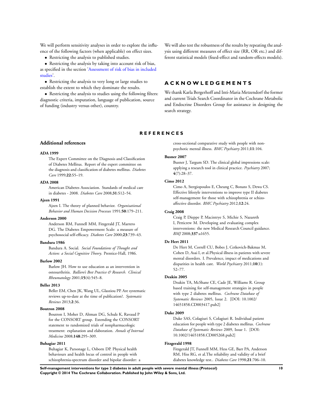<span id="page-12-0"></span>We will perform sensitivity analyses in order to explore the influence of the following factors (when applicable) on effect sizes.

• Restricting the analysis to published studies.

• Restricting the analysis by taking into account risk of bias, as specified in the section ['Assessment of risk of bias in included](#page-6-0) [studies'](#page-6-0).

• Restricting the analysis to very long or large studies to establish the extent to which they dominate the results.

• Restricting the analysis to studies using the following filters: diagnostic criteria, imputation, language of publication, source of funding (industry versus other), country.

We will also test the robustness of the results by repeating the analysis using different measures of effect size (RR, OR etc.) and different statistical models (fixed-effect and random-effects models).

## **A C K N O W L E D G E M E N T S**

We thank Karla Bergerhoff and Inti-Maria Metzendorf the former and current Trials Search Coordinator in the Cochrane Metabolic and Endocrine Disorders Group for assistance in designing the search strategy.

## **R E F E R E N C E S**

## **Additional references**

## **ADA 1999**

The Expert Committee on the Diagnosis and Classification of Diabetes Mellitus. Report of the expert committee on the diagnosis and classification of diabetes mellitus. *Diabetes Care* 1999;**22**:S5–19.

## **ADA 2008**

American Diabetes Association. Standards of medical care in diabetes - 2008. *Diabetes Care* 2008;**31**:S12–54.

#### **Ajzen 1991**

Ajzen I. The theory of planned behavior. *Organisational Behavior and Human Decision Processes* 1991;**50**:179–211.

## **Anderson 2000**

Anderson RM, Funnell MM, Fitzgerald JT, Marrero DG. The Diabetes Empowerment Scale: a measure of psychosocial self-efficacy. *Diabetes Care* 2000;**23**:739–43.

#### **Bandura 1986**

Bandura A. Social. *Social Foundations of Thought and Action: a Social Cognitive Theory*. Prentice-Hall, 1986.

## **Barlow 2002**

Barlow JH. How to use education as an intervention in osteoarthritis. *Balliere's Best Practice & Research. Clinical Rheumatology* 2001;**15**(4):545–8.

#### **Beller 2013**

Beller EM, Chen JK, Wang UL, Glasziou PP. Are systematic reviews up-to-date at the time of publication?. *Systematic Reviews* 2013;**2**:36.

#### **Boutron 2008**

Boutron I, Moher D, Altman DG, Schulz K, Ravaud P for the CONSORT group. Extending the CONSORT statement to randomized trials of nonpharmacologic treatment: explanation and elaboration. *Annals of Internal Medicine* 2008;**148**:295–309.

## **Buhagiar 2011**

Buhagiar K, Parsonage L, Osborn DP. Physical health behaviours and health locus of control in people with schizophrenia-spectrum disorder and bipolar disorder: a cross-sectional comparative study with people with nonpsychotic mental illness. *BMC Psychiatry* 2011;**11**:104.

## **Busner 2007**

Busner J, Targum SD. The clinical global impressions scale: applying a research tool in clinical practice. *Psychiatry* 2007; **4**(7):28–37.

## **Cimo 2012**

Cimo A, Stergiopoulos E, Cheung C, Bonato S, Dewa CS. Effective lifestyle interventions to improve type II diabetes self-management for those with schizophrenia or schizoaffective disorder. *BMC Psychiatry* 2012;**12**:24.

## **Craig 2008**

Craig P, Dieppe P, Macintrye S, Michie S, Nazareth I, Petticrew M. Developing and evaluating complex interventions: the new Medical Research Council guidance. *BMJ* 2008;**337**:a1655.

## **De Hert 2011**

De Hert M, Correll CU, Bobes J, Cetkovich-Bakmas M, Cohen D, Asai I, et al.Physical illness in patients with severe mental disorders. I. Prevalence, impact of medications and disparities in health care. *World Psychiatry* 2011;**10**(1): 52–77.

#### **Deakin 2005**

Deakin TA, McShane CE, Cade JE, Williams R. Group based training for self-management strategies in people with type 2 diabetes mellitus. *Cochrane Database of Systematic Reviews* 2005, Issue 2. [DOI: 10.1002/ 14651858.CD003417.pub2]

## **Duke 2009**

Duke SAS, Colagiuri S, Colagiuri R. Individual patient education for people with type 2 diabetes mellitus. *Cochrane Database of Systematic Reviews* 2009, Issue 1. [DOI: 10.1002/14651858.CD005268.pub2]

## **Fitzgerald 1998**

Fitzgerald JT, Funnell MM, Hess GE, Barr PA, Anderson RM, Hiss RG, et al.The reliability and validity of a brief diabetes knowledge test.. *Diabetes Care* 1998;**21**:706–10.

**Self-management interventions for type 2 diabetes in adult people with severe mental illness (Protocol) 10 Copyright © 2014 The Cochrane Collaboration. Published by John Wiley & Sons, Ltd.**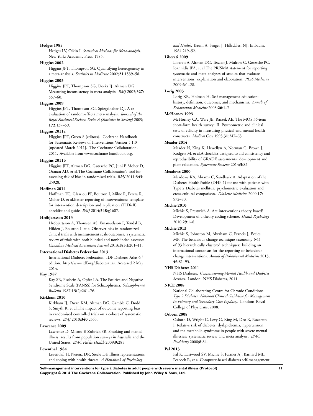## **Hedges 1985**

Hedges LV, Olkin I. *Statistical Methods for Meta-analysis*. New York: Academic Press, 1985.

## **Higgins 2002**

Higgins JPT, Thompson SG. Quantifying heterogeneity in a meta-analysis. *Statistics in Medicine* 2002;**21**:1539–58.

## **Higgins 2003**

Higgins JPT, Thompson SG, Deeks JJ, Altman DG. Measuring inconsistency in meta-analysis. *BMJ* 2003;**327**: 557–60.

## **Higgins 2009**

Higgins JPT, Thompson SG, Spiegelhalter DJ. A reevaluation of random-effects meta-analysis. *Journal of the Royal Statistical Society: Series A (Statistics in Society)* 2009; **172**:137–59.

## **Higgins 2011a**

Higgins JPT, Green S (editors). Cochrane Handbook for Systematic Reviews of Interventions Version 5.1.0 [updated March 2011]. The Cochrane Collaboration, 2011. Available from www.cochrane-handbook.org.

## **Higgins 2011b**

Higgins JPT, Altman DG, Gøtzsche PC, Jüni P, Moher D, Oxman AD, et al.The Cochrane Collaboration's tool for assessing risk of bias in randomised trials. *BMJ* 2011;**343**: d5928.

## **Hoffman 2014**

Hoffman TC, Glasziou PP, Boutron I, Milne R, Perera R, Moher D, et al.Better reporting of interventions: template for intervention description and replication (TIDieR) checklist and guide. *BMJ* 2014;**348**:g1687.

## **Hróbjartsson 2013**

Hróbjartsson A, Thomsen AS, Emanuelsson F, Tendal B, Hilden J, Boutron I, et al.Observer bias in randomized clinical trials with measurement scale outcomes: a systematic review of trials with both blinded and nonblinded assessors. *Canadian Medical Association Journal* 2013;**185**:E201–11.

## **International Diabetes Federation 2013**

International Diabetes Federation. IDF Diabetes Atlas 6<sup>th</sup> edition. http://www.idf.org/diabetesatlas. Accessed 2 May 2014.

#### **Kay 1987**

Kay SR, Flszbein A, Opfer LA. The Positive and Negative Syndrome Scale (PANSS) for Schizophrenia. *Schizophrenia Bulletin* 1987;**13**(2):261–76.

## **Kirkham 2010**

Kirkham JJ, Dwan KM, Altman DG, Gamble C, Dodd S, Smyth R, et al.The impact of outcome reporting bias in randomised controlled trials on a cohort of systematic reviews. *BMJ* 2010;**340**:c365.

#### **Lawrence 2009**

Lawrence D, Mitrou F, Zubrick SR. Smoking and mental illness: results from population surveys in Australia and the United States. *BMC Public Health* 2009;**9**:285.

## **Leventhal 1984**

Leventhal H, Nerenz DR, Steele DF. Illness representations and coping with health threats. *A Handbook of Psychology*

*and Health*. Baum A, Singer J. Hillsdales, NJ: Erlbaum, 1984:219–52.

## **Liberati 2009**

Liberati A, Altman DG, Tetzlaff J, Mulrow C, Gøtzsche PC, Ioannidis JPA, et al.The PRISMA statement for reporting systematic and meta-analyses of studies that evaluate interventions: explanation and elaboration. *PLoS Medicine* 2009;**6**:1–28.

## **Lorig 2003**

Lorig KR, Holman H. Self-management education: history, definition, outcomes, and mechanisms. *Annals of Behavioural Medicine* 2003;**26**:1–7.

## **McHorney 1993**

McHorney CA, Ware JE, Raczek AE. The MOS 36-item short-form health survey: II. Psychometric and clinical tests of validity in measuring physical and mental health constructs. *Medical Care* 1993;**31**:247–63.

## **Meader 2014**

Meader N, King K, Llewellyn A, Norman G, Brown J, Rodgers M, et al.A checklist designed to aid consistency and reproducibility of GRADE assessments: development and pilot validation. *Systematic Reviews* 2014;**3**:82.

## **Meadows 2000**

Meadows KA, Abrams C, Sandbaek A. Adaptation of the Diabetes HealthProfile (DHP-1) for use with patients with Type 2 Diabetes mellitus: psychometric evaluation and cross-cultural comparison. *Diabetic Medicine* 2000;**17**: 572–80.

#### **Michie 2010**

Michie S, Prestwich A. Are interventions theory based? Development of a theory coding scheme. *Health Psychology* 2010;**29**:1–8.

## **Michie 2013**

Michie S, Johnston M, Abraham C, Francis J, Eccles MP. The behaviour change technique taxonomy (v1) of 93 hierarchically clustered techniques: building an international consensus for the reporting of behaviour change interventions. *Annals of Behavioural Medicine* 2013; **46**:81–95.

#### **NHS Diabetes 2011**

NHS Diabetes. *Commissioning Mental Health and Diabetes Services*. London: NHS Diabetes, 2011.

## **NICE 2008**

National Collaborating Centre for Chronic Conditions. *Type 2 Diabetes: National Clinical Guideline for Management in Primary and Secondary Care (update)*. London: Royal College of Physicians, 2008.

## **Osborn 2008**

Osborn D, Wright C, Levy G, King M, Deo R, Nazareth I. Relative risk of diabetes, dyslipidaemia, hypertension and the metabolic syndrome in people with severe mental illnesses: systematic review and meta analysis. *BMC Psychiatry* 2008;**8**:84.

#### **Pal 2013**

Pal K, Eastwood SV, Michie S, Farmer AJ, Barnard ML, Peacock R, et al.Computer-based diabetes self-management

**Self-management interventions for type 2 diabetes in adult people with severe mental illness (Protocol) 11 Copyright © 2014 The Cochrane Collaboration. Published by John Wiley & Sons, Ltd.**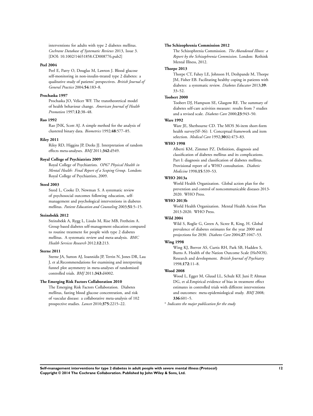interventions for adults with type 2 diabetes mellitus. *Cochrane Database of Systematic Reviews* 2013, Issue 3. [DOI: 10.1002/14651858.CD008776.pub2]

## **Peel 2004**

Peel E, Parry O, Douglas M, Lawton J. Blood glucose self-monitoring in non-insulin-treated type 2 diabetes: a qualitative study of patients' perspectives. *British Journal of General Practice* 2004;**54**:183–8.

## **Prochaska 1997**

Prochaska JO, Velicer WF. The transtheoretical model of health behaviour change. *American Journal of Health Promotion* 1997;**12**:38–48.

## **Rao 1992**

Rao JNK, Scott AJ. A simple method for the analysis of clustered binary data. *Biometrics* 1992;**48**:577–85.

## **Riley 2011**

Riley RD, Higgins JP, Deeks JJ. Interpretation of random effects meta-analyses. *BMJ* 2011;**342**:d549.

## **Royal College of Psychiatrists 2009**

Royal College of Psychiatrists. *OP67 Physical Health in Mental Health: Final Report of a Scoping Group*. London: Royal College of Psychiatrists, 2009.

#### **Steed 2003**

Steed L, Cooke D, Newman S. A systematic review of psychosocial outcomes following education, selfmanagement and psychological interventions in diabetes mellitus. *Patient Education and Counseling* 2003;**51**:5–15.

## **Steinsbekk 2012**

Steinsbekk A, Rygg L, Lisulo M, Rise MB, Fretheim A. Group based diabetes self-management education compared to routine treatment for people with type 2 diabetes mellitus. A systematic review and meta-analysis. *BMC Health Services Research* 2012;**12**:213.

#### **Sterne 2011**

Sterne JA, Sutton AJ, Ioannidis JP, Terrin N, Jones DR, Lau J, et al.Recommendations for examining and interpreting funnel plot asymmetry in meta-analyses of randomised controlled trials. *BMJ* 2011;**343**:d4002.

## **The Emerging Risk Factors Collaboration 2010**

The Emerging Risk Factors Collaboration. Diabetes mellitus, fasting blood glucose concentration, and risk of vascular disease: a collaborative meta-analysis of 102 prospective studies. *Lancet* 2010;**375**:2215–22.

#### **The Schizophrenia Commission 2012**

The Schizophrenia Commission. *The Abandoned Illness: a Report by the Schizophrenia Commission*. London: Rethink Mental Illness, 2012.

## **Thorpe 2013**

Thorpe CT, Fahey LE, Johnson H, Deshpande M, Thorpe JM, Fisher EB. Facilitating healthy coping in patients with diabetes: a systematic review. *Diabetes Educator* 2013;**39**: 33–52.

## **Toobert 2000**

Toobert DJ, Hampson SE, Glasgow RE. The summary of diabetes self-care activities measure: results from 7 studies and a revised scale. *Diabetes Care* 2000;**23**:943–50.

## **Ware 1992**

Ware JE, Sherbourne CD. The MOS 36-item short-form health survey(SF-36): I. Conceptual framework and item selection. *Medical Care* 1992;**30**(6):473–83.

#### **WHO 1998**

Alberti KM, Zimmet PZ. Definition, diagnosis and classification of diabetes mellitus and its complications. Part I: diagnosis and classification of diabetes mellitus. Provisional report of a WHO consultation. *Diabetic Medicine* 1998;**15**:539–53.

## **WHO 2013a**

World Health Organization. Global action plan for the prevention and control of noncommunicable diseases 2013- 2020. WHO Press.

## **WHO 2013b**

World Health Organization. Mental Health Action Plan 2013-2020. WHO Press.

## **Wild 2004**

Wild S, Roglie G, Green A, Sicree R, King, H. Global prevalence of diabetes estimates for the year 2000 and projections for 2030. *Diabetes Care* 2004;**27**:1047–53.

## **Wing 1998**

Wing KJ, Beevor AS, Curtis RH, Park SB, Hadden S, Burns A. Health of the Nation Outcome Scale (HoNOS). Research and development. *British Journal of Psychiatry* 1998;**172**:11–8.

## **Wood 2008**

Wood L, Egger M, Gluud LL, Schulz KF, Juni P, Altman DG, et al.Empirical evidence of bias in treatment effect estimates in controlled trials with different interventions and outcomes: meta-epidemiological study. *BMJ* 2008; **336**:601–5.

∗ *Indicates the major publication for the study*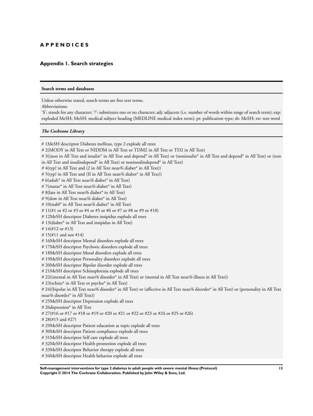## <span id="page-15-0"></span>**A P P E N D I C E S**

## **Appendix 1. Search strategies**

## **Search terms and databases**

Unless otherwise stated, search terms are free text terms.

Abbreviations:

'\$': stands for any character; '?': substitutes one or no character; adj: adjacent (i.e. number of words within range of search term); exp: exploded MeSH; MeSH: medical subject heading (MEDLINE medical index term); pt: publication type; sh: MeSH; tw: text word

## *The Cochrane Library*

- # 1MeSH descriptor Diabetes mellitus, type 2 explode all trees
- # 2(MODY in All Text or NIDDM in All Text or TDM2 in All Text or TD2 in All Text)
- # 3((non in All Text and insulin<sup>\*</sup> in All Text and depend<sup>\*</sup> in All Text) or (noninsulin<sup>\*</sup> in All Text and depend<sup>\*</sup> in All Text) or (non
- in All Text and insulindepend\* in All Text) or noninsulindepend\* in All Text)
- # 4(typ? in All Text and (2 in All Text near/6 diabet\* in All Text))
- # 5(typ? in All Text and (II in All Text near/6 diabet\* in All Text))
- # 6(adult\* in All Text near/6 diabet\* in All Text)
- # 7(matur\* in All Text near/6 diabet\* in All Text)
- # 8(late in All Text near/6 diabet\* in All Text)
- # 9(slow in All Text near/6 diabet\* in All Text)
- # 10(stabl\* in All Text near/6 diabet\* in All Text)
- # 11(#1 or #2 or #3 or #4 or #5 or #6 or #7 or #8 or #9 or #10)
- # 12MeSH descriptor Diabetes insipidus explode all trees
- # 13(diabet\* in All Text and insipidus in All Text)
- # 14(#12 or #13)
- # 15(#11 and not #14)
- # 16MeSH descriptor Mental disorders explode all trees
- # 17MeSH descriptor Psychotic disorders explode all trees
- # 18MeSH descriptor Mood disorders explode all trees
- # 19MeSH descriptor Personality disorders explode all trees
- # 20MeSH descriptor Bipolar disorder explode all trees
- # 21MeSH descriptor Schizophrenia explode all trees
- # 22((mental in All Text near/6 disorder\* in All Text) or (mental in All Text near/6 illness in All Text))
- # 23(schizo\* in All Text or psycho\* in All Text)

# 24((bipolar in All Text near/6 disorder\* in All Text) or (affective in All Text near/6 disorder\* in All Text) or (personality in All Text near/6 disorder\* in All Text))

- # 25MeSH descriptor Depression explode all trees
- # 26depression\* in All Text
- # 27(#16 or #17 or #18 or #19 or #20 or #21 or #22 or #23 or #24 or #25 or #26)
- # 28(#15 and #27)
- # 29MeSH descriptor Patient education as topic explode all trees
- # 30MeSH descriptor Patient compliance explode all trees
- # 31MeSH descriptor Self care explode all trees
- # 32MeSH descriptor Health promotion explode all trees
- # 33MeSH descriptor Behavior therapy explode all trees
- # 34MeSH descriptor Health behavior explode all trees

**Self-management interventions for type 2 diabetes in adult people with severe mental illness (Protocol) 13 Copyright © 2014 The Cochrane Collaboration. Published by John Wiley & Sons, Ltd.**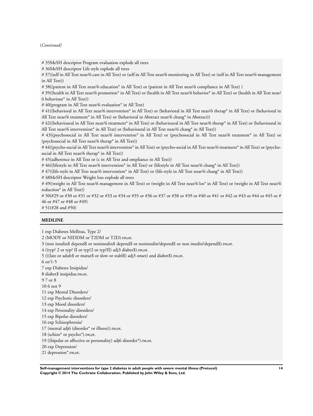# 35MeSH descriptor Program evaluation explode all trees

# 36MeSH descriptor Life style explode all trees

#37((self in All Text near/6 care in All Text) or (self in All Text near/6 monitoring in All Text) or (self in All Text near/6 management in All Text))

#38((patient in All Text near/6 education\* in All Text) or (patient in All Text near/6 compliance in All Text))

# 39((health in All Text near/6 promotion\* in All Text) or (health in All Text near/6 behavior\* in All Text) or (health in All Text near/ 6 behaviour\* in All Text))

# 40(program in All Text near/6 evaluation\* in All Text)

# 41((behavioral in All Text near/6 intervention\* in All Text) or (behavioral in All Text near/6 therap\* in All Text) or (behavioral in All Text near/6 treatment<sup>\*</sup> in All Text) or (behavioral in Abstract near/6 chang<sup>\*</sup> in Abstract))

# 42((behavioural in All Text near/6 treatment\* in All Text) or (behavioural in All Text near/6 therap\* in All Text) or (behavioural in All Text near/6 intervention\* in All Text) or (behavioural in All Text near/6 chang\* in All Text))

# 43((psychosocial in All Text near/6 intervention\* in All Text) or (psychosocial in All Text near/6 treatment\* in All Text) or (psychosocial in All Text near/6 therap\* in All Text))

#44((psycho-social in All Text near/6 intervention\* in All Text) or (psycho-social in All Text near/6 treatment\* in All Text) or (psychosocial in All Text near/6 therap\* in All Text))

# 45(adherence in All Text or (c in All Text and ompliance in All Text))

# 46((lifestyle in All Text near/6 intervention\* in All Text) or (lifestyle in All Text near/6 chang\* in All Text))

# 47((life-style in All Text near/6 intervention\* in All Text) or (life-style in All Text near/6 chang\* in All Text))

# 48MeSH descriptor Weight loss explode all trees

# 49((weight in All Text near/6 management in All Text) or (weight in All Text near/6 los\* in All Text) or (weight in All Text near/6 reduction\* in All Text))

# 50(#29 or #30 or #31 or #32 or #33 or #34 or #35 or #36 or #37 or #38 or #39 or #40 or #41 or #42 or #43 or #44 or #45 or # 46 or #47 or #48 or #49)

# 51(#28 and #50)

## **MEDLINE**

1 exp Diabetes Mellitus, Type 2/

2 (MODY or NIDDM or T2DM or T2D).tw,ot.

3 (non insulin\$ depend\$ or noninsulin\$ depend\$ or noninsulin?depend\$ or non insulin?depend\$).tw,ot.

4 ((typ? 2 or typ? II or typ?2 or typ?II) adj3 diabet\$).tw,ot.

5 (((late or adult\$ or matur\$ or slow or stabl\$) adj3 onset) and diabet\$).tw,ot.

6 or/1-5

7 exp Diabetes Insipidus/

8 diabet\$ insipidus.tw,ot.

9 7 or 8

10 6 not 9

11 exp Mental Disorders/

- 12 exp Psychotic disorders/
- 13 exp Mood disorders/
- 14 exp Personality disorders/

15 exp Bipolar disorders/

16 exp Schizophrenia/

17 (mental adj6 (disorder\* or illness)).tw,ot.

18 (schizo\* or psycho\*).tw,ot.

19 ((bipolar or affective or personality) adj6 disorder\*).tw,ot.

20 exp Depression/

21 depression\*.tw,ot.

**Self-management interventions for type 2 diabetes in adult people with severe mental illness (Protocol) 14 Copyright © 2014 The Cochrane Collaboration. Published by John Wiley & Sons, Ltd.**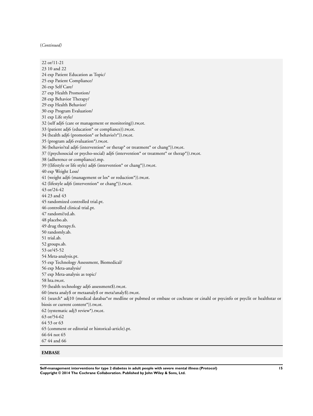22 or/11-21 23 10 and 22 24 exp Patient Education as Topic/ 25 exp Patient Compliance/ 26 exp Self Care/ 27 exp Health Promotion/ 28 exp Behavior Therapy/ 29 exp Health Behavior/ 30 exp Program Evaluation/ 31 exp Life style/ 32 (self adj6 (care or management or monitoring)).tw,ot. 33 (patient adj6 (education\* or compliance)).tw,ot. 34 (health adj6 (promotion\* or behavio?r\*)).tw,ot. 35 (program adj6 evaluation\*).tw,ot. 36 (behavio?ral adj6 (intervention\* or therap\* or treatment\* or chang\*)).tw,ot. 37 ((psychosocial or psycho-social) adj6 (intervention\* or treatment\* or therap\*)).tw,ot. 38 (adherence or compliance).mp. 39 ((lifestyle or life style) adj6 (intervention\* or chang\*)).tw,ot. 40 exp Weight Loss/ 41 (weight adj6 (management or los\* or reduction\*)).tw,ot. 42 (lifestyle adj6 (intervention\* or chang\*)).tw,ot. 43 or/24-42 44 23 and 43 45 randomized controlled trial.pt. 46 controlled clinical trial.pt. 47 randomi?ed.ab. 48 placebo.ab. 49 drug therapy.fs. 50 randomly.ab. 51 trial.ab. 52 groups.ab. 53 or/45-52 54 Meta-analysis.pt. 55 exp Technology Assessment, Biomedical/ 56 exp Meta-analysis/ 57 exp Meta-analysis as topic/ 58 hta.tw,ot. 59 (health technology adj6 assessment\$).tw,ot. 60 (meta analy\$ or metaanaly\$ or meta?analy\$).tw,ot. 61 (search\* adj10 (medical databas\*or medline or pubmed or embase or cochrane or cinahl or psycinfo or psyclit or healthstar or biosis or current content\*)).tw,ot. 62 (systematic adj3 review\*).tw,ot. 63 or/54-62 64 53 or 63 65 (comment or editorial or historical-article).pt. 66 64 not 65 67 44 and 66

## **EMBASE**

**Self-management interventions for type 2 diabetes in adult people with severe mental illness (Protocol) 15 Copyright © 2014 The Cochrane Collaboration. Published by John Wiley & Sons, Ltd.**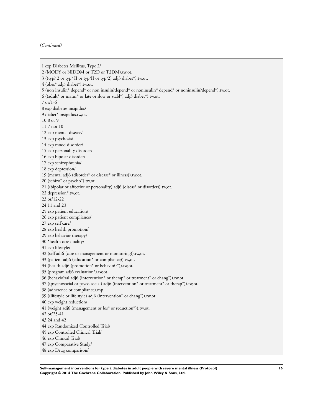1 exp Diabetes Mellitus, Type 2/ 2 (MODY or NIDDM or T2D or T2DM).tw,ot. 3 ((typ? 2 or typ? II or typ?II or typ?2) adj3 diabet\*).tw,ot. 4 (obes\* adj3 diabet\*).tw,ot. 5 (non insulin\* depend\* or non insulin?depend\* or noninsulin\* depend\* or noninsulin?depend\*).tw,ot. 6 ((adult\* or matur\* or late or slow or stabl\*) adj3 diabet\*).tw,ot. 7 or/1-6 8 exp diabetes insipidus/ 9 diabet\* insipidus.tw,ot. 10 8 or 9 11 7 not 10 12 exp mental disease/ 13 exp psychosis/ 14 exp mood disorder/ 15 exp personality disorder/ 16 exp bipolar disorder/ 17 exp schizophrenia/ 18 exp depression/ 19 (mental adj6 (disorder\* or disease\* or illness)).tw,ot. 20 (schizo\* or psycho\*).tw,ot. 21 ((bipolar or affective or personality) adj6 (diseas\* or disorder)).tw,ot. 22 depression\*.tw,ot. 23 or/12-22 24 11 and 23 25 exp patient education/ 26 exp patient compliance/ 27 exp self care/ 28 exp health promotion/ 29 exp behavior therapy/ 30 \*health care quality/ 31 exp lifestyle/ 32 (self adj6 (care or management or monitoring)).tw,ot. 33 (patient adj6 (education\* or compliance)).tw,ot. 34 (health adj6 (promotion\* or behavio?r\*)).tw,ot. 35 (program adj6 evaluation\*).tw,ot. 36 (behavio?ral adj6 (intervention\* or therap\* or treatment\* or chang\*)).tw,ot. 37 ((psychosocial or psyco social) adj6 (intervention\* or treatment\* or therap\*)).tw,ot. 38 (adherence or compliance).mp. 39 ((lifestyle or life style) adj6 (intervention\* or chang\*)).tw,ot. 40 exp weight reduction/ 41 (weight adj6 (management or los\* or reduction\*)).tw,ot. 42 or/25-41 43 24 and 42 44 exp Randomized Controlled Trial/ 45 exp Controlled Clinical Trial/ 46 exp Clinical Trial/ 47 exp Comparative Study/ 48 exp Drug comparison/

**Self-management interventions for type 2 diabetes in adult people with severe mental illness (Protocol) 16 Copyright © 2014 The Cochrane Collaboration. Published by John Wiley & Sons, Ltd.**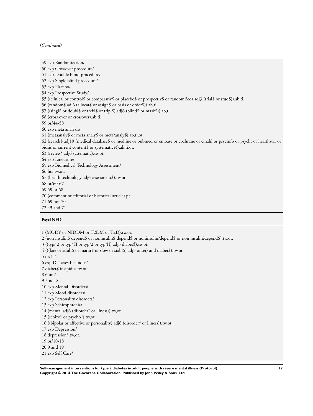49 exp Randomization/ 50 exp Crossover procedure/ 51 exp Double blind procedure/ 52 exp Single blind procedure/ 53 exp Placebo/ 54 exp Prospective Study/ 55 ((clinical or control\$ or comparativ\$ or placebo\$ or prospectiv\$ or randomi?ed) adj3 (trial\$ or stud\$)).ab,ti. 56 (random\$ adj6 (allocat\$ or assign\$ or basis or order\$)).ab,ti. 57 ((singl\$ or doubl\$ or trebl\$ or tripl\$) adj6 (blind\$ or mask\$)).ab,ti. 58 (cross over or crossover).ab,ti. 59 or/44-58 60 exp meta analysis/ 61 (metaanaly\$ or meta analy\$ or meta?analy\$).ab,ti,ot. 62 (search\$ adj10 (medical database\$ or medline or pubmed or embase or cochrane or cinahl or psycinfo or psyclit or healthstar or biosis or current content\$ or systematic\$)).ab,ti,ot. 63 (review\* adj6 systematic).tw,ot. 64 exp Literature/ 65 exp Biomedical Technology Assessment/ 66 hta.tw,ot. 67 (health technology adj6 assessment\$).tw,ot. 68 or/60-67 69 59 or 68 70 (comment or editorial or historical-article).pt. 71 69 not 70 72 43 and 71

## **PsycINFO**

1 (MODY or NIDDM or T2DM or T2D).tw,ot.

2 (non insulin\$ depend\$ or noninsulin\$ depend\$ or noninsulin?depend\$ or non insulin?depend\$).tw,ot.

3 ((typ? 2 or typ? II or typ?2 or typ?II) adj3 diabet\$).tw,ot.

4 (((late or adult\$ or matur\$ or slow or stabl\$) adj3 onset) and diabet\$).tw,ot.

5 or/1-4

6 exp Diabetes Insipidus/

7 diabet\$ insipidus.tw,ot.

8 6 or 7

9 5 not 8

10 exp Mental Disorders/

11 exp Mood disorders/

12 exp Personality disorders/

13 exp Schizophrenia/

14 (mental adj6 (disorder\* or illness)).tw,ot.

15 (schizo\* or psycho\*).tw,ot.

16 ((bipolar or affective or personality) adj6 (disorder\* or illness)).tw,ot.

17 exp Depression/

18 depression\*.tw,ot.

19 or/10-18

20 9 and 19

21 exp Self Care/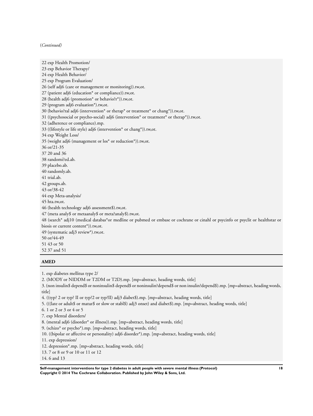22 exp Health Promotion/

23 exp Behavior Therapy/ 24 exp Health Behavior/ 25 exp Program Evaluation/ 26 (self adj6 (care or management or monitoring)).tw,ot. 27 (patient adj6 (education\* or compliance)).tw,ot. 28 (health adj6 (promotion\* or behavio?r\*)).tw,ot. 29 (program adj6 evaluation\*).tw,ot. 30 (behavio?ral adj6 (intervention\* or therap\* or treatment\* or chang\*)).tw,ot. 31 ((psychosocial or psycho-social) adj6 (intervention\* or treatment\* or therap\*)).tw,ot. 32 (adherence or compliance).mp. 33 ((lifestyle or life style) adj6 (intervention\* or chang\*)).tw,ot. 34 exp Weight Loss/ 35 (weight adj6 (management or los\* or reduction\*)).tw,ot. 36 or/21-35 37 20 and 36 38 randomi?ed.ab. 39 placebo.ab. 40 randomly.ab. 41 trial.ab. 42 groups.ab. 43 or/38-42 44 exp Meta-analysis/ 45 hta.tw,ot. 46 (health technology adj6 assessment\$).tw,ot. 47 (meta analy\$ or metaanaly\$ or meta?analy\$).tw,ot. 48 (search\* adj10 (medical databas\*or medline or pubmed or embase or cochrane or cinahl or psycinfo or psyclit or healthstar or biosis or current content\*)).tw,ot. 49 (systematic adj3 review\*).tw,ot. 50 or/44-49

51 43 or 50

52 37 and 51

## **AMED**

1. exp diabetes mellitus type 2/

2. (MODY or NIDDM or T2DM or T2D).mp. [mp=abstract, heading words, title]

3. (non insulin\$ depend\$ or noninsulin\$ depend\$ or noninsulin?depend\$ or non insulin?depend\$).mp. [mp=abstract, heading words, title]

4. ((typ? 2 or typ? II or typ?2 or typ?II) adj3 diabet\$).mp. [mp=abstract, heading words, title]

5. (((late or adult\$ or matur\$ or slow or stabl\$) adj3 onset) and diabet\$).mp. [mp=abstract, heading words, title]

6. 1 or 2 or 3 or 4 or 5

7. exp Mental disorders/

8. (mental adj6 (disorder\* or illness)).mp. [mp=abstract, heading words, title]

9. (schizo\* or psycho\*).mp. [mp=abstract, heading words, title]

10. ((bipolar or affective or personality) adj6 disorder\*).mp. [mp=abstract, heading words, title]

11. exp depression/

12. depression\*.mp. [mp=abstract, heading words, title]

13. 7 or 8 or 9 or 10 or 11 or 12

14. 6 and 13

**Self-management interventions for type 2 diabetes in adult people with severe mental illness (Protocol) 18 Copyright © 2014 The Cochrane Collaboration. Published by John Wiley & Sons, Ltd.**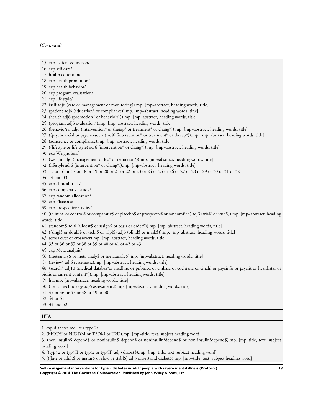- 15. exp patient education/
- 16. exp self care/
- 17. health education/
- 18. exp health promotion/
- 19. exp health behavior/
- 20. exp program evaluation/
- 21. exp life style/
- 22. (self adj6 (care or management or monitoring)).mp. [mp=abstract, heading words, title]
- 23. (patient adj6 (education\* or compliance)).mp. [mp=abstract, heading words, title]
- 24. (health adj6 (promotion\* or behavio?r\*)).mp. [mp=abstract, heading words, title]
- 25. (program adj6 evaluation\*).mp. [mp=abstract, heading words, title]
- 26. (behavio?ral adj6 (intervention\* or therap\* or treatment\* or chang\*)).mp. [mp=abstract, heading words, title]
- 27. ((psychosocial or psycho-social) adj6 (intervention\* or treatment\* or therap\*)).mp. [mp=abstract, heading words, title]
- 28. (adherence or compliance).mp. [mp=abstract, heading words, title]
- 29. ((lifestyle or life style) adj6 (intervention\* or chang\*)).mp. [mp=abstract, heading words, title]

30. exp Weight loss/

- 31. (weight adj6 (management or los\* or reduction\*)).mp. [mp=abstract, heading words, title]
- 32. (lifestyle adj6 (intervention\* or chang\*)).mp. [mp=abstract, heading words, title]
- 33. 15 or 16 or 17 or 18 or 19 or 20 or 21 or 22 or 23 or 24 or 25 or 26 or 27 or 28 or 29 or 30 or 31 or 32

34. 14 and 33

- 35. exp clinical trials/
- 36. exp comparative study/
- 37. exp random allocation/
- 38. exp Placebos/
- 39. exp prospective studies/

40. ((clinical or control\$ or comparativ\$ or placebo\$ or prospectiv\$ or randomi?ed) adj3 (trial\$ or stud\$)).mp. [mp=abstract, heading words, title]

- 41. (random\$ adj6 (allocat\$ or assign\$ or basis or order\$)).mp. [mp=abstract, heading words, title]
- 42. ((singl\$ or doubl\$ or trebl\$ or tripl\$) adj6 (blind\$ or mask\$)).mp. [mp=abstract, heading words, title]
- 43. (cross over or crossover).mp. [mp=abstract, heading words, title]
- 44. 35 or 36 or 37 or 38 or 39 or 40 or 41 or 42 or 43

45. exp Meta analysis/

- 46. (metaanaly\$ or meta analy\$ or meta?analy\$).mp. [mp=abstract, heading words, title]
- 47. (review\* adj6 systematic).mp. [mp=abstract, heading words, title]

48. (search\* adj10 (medical databas\*or medline or pubmed or embase or cochrane or cinahl or psycinfo or psyclit or healthstar or biosis or current content\*)).mp. [mp=abstract, heading words, title]

- 49. hta.mp. [mp=abstract, heading words, title]
- 50. (health technology adj6 assessment\$).mp. [mp=abstract, heading words, title]
- 51. 45 or 46 or 47 or 48 or 49 or 50
- 52. 44 or 51

53. 34 and 52

## **HTA**

- 1. exp diabetes mellitus type 2/
- 2. (MODY or NIDDM or T2DM or T2D).mp. [mp=title, text, subject heading word]
- 3. (non insulin\$ depend\$ or noninsulin\$ depend\$ or noninsulin?depend\$ or non insulin?depend\$).mp. [mp=title, text, subject heading word]
- 4. ((typ? 2 or typ? II or typ?2 or typ?II) adj3 diabet\$).mp. [mp=title, text, subject heading word]
- 5. (((late or adult\$ or matur\$ or slow or stabl\$) adj3 onset) and diabet\$).mp. [mp=title, text, subject heading word]

**Self-management interventions for type 2 diabetes in adult people with severe mental illness (Protocol) 19 Copyright © 2014 The Cochrane Collaboration. Published by John Wiley & Sons, Ltd.**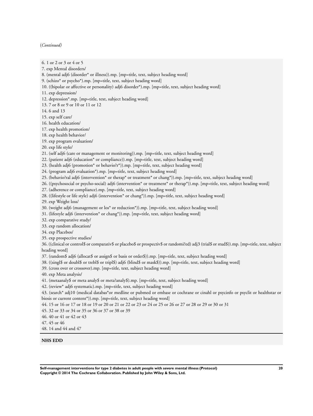- 6. 1 or 2 or 3 or 4 or 5
- 7. exp Mental disorders/
- 8. (mental adj6 (disorder\* or illness)).mp. [mp=title, text, subject heading word]
- 9. (schizo\* or psycho\*).mp. [mp=title, text, subject heading word]
- 10. ((bipolar or affective or personality) adj6 disorder\*).mp. [mp=title, text, subject heading word]
- 11. exp depression/
- 12. depression\*.mp. [mp=title, text, subject heading word]
- 13. 7 or 8 or 9 or 10 or 11 or 12
- 14. 6 and 13
- 15. exp self care/
- 16. health education/
- 17. exp health promotion/
- 18. exp health behavior/
- 19. exp program evaluation/
- 20. exp life style/
- 21. (self adj6 (care or management or monitoring)).mp. [mp=title, text, subject heading word]
- 22. (patient adj6 (education\* or compliance)).mp. [mp=title, text, subject heading word]
- 23. (health adj6 (promotion\* or behavio?r\*)).mp. [mp=title, text, subject heading word]
- 24. (program adj6 evaluation\*).mp. [mp=title, text, subject heading word]
- 25. (behavio?ral adj6 (intervention\* or therap\* or treatment\* or chang\*)).mp. [mp=title, text, subject heading word]
- 26. ((psychosocial or psycho-social) adj6 (intervention\* or treatment\* or therap\*)).mp. [mp=title, text, subject heading word]
- 27. (adherence or compliance).mp. [mp=title, text, subject heading word]
- 28. ((lifestyle or life style) adj6 (intervention\* or chang\*)).mp. [mp=title, text, subject heading word]
- 29. exp Weight loss/
- 30. (weight adj6 (management or los\* or reduction\*)).mp. [mp=title, text, subject heading word]
- 31. (lifestyle adj6 (intervention\* or chang\*)).mp. [mp=title, text, subject heading word]
- 32. exp comparative study/
- 33. exp random allocation/
- 34. exp Placebos/
- 35. exp prospective studies/

36. ((clinical or control\$ or comparativ\$ or placebo\$ or prospectiv\$ or randomi?ed) adj3 (trial\$ or stud\$)).mp. [mp=title, text, subject heading word]

- 37. (random\$ adj6 (allocat\$ or assign\$ or basis or order\$)).mp. [mp=title, text, subject heading word]
- 38. ((singl\$ or doubl\$ or trebl\$ or tripl\$) adj6 (blind\$ or mask\$)).mp. [mp=title, text, subject heading word]
- 39. (cross over or crossover).mp. [mp=title, text, subject heading word]
- 40. exp Meta analysis/
- 41. (metaanaly\$ or meta analy\$ or meta?analy\$).mp. [mp=title, text, subject heading word]
- 42. (review\* adj6 systematic).mp. [mp=title, text, subject heading word]

43. (search\* adj10 (medical databas\*or medline or pubmed or embase or cochrane or cinahl or psycinfo or psyclit or healthstar or biosis or current content\*)).mp. [mp=title, text, subject heading word]

- 44. 15 or 16 or 17 or 18 or 19 or 20 or 21 or 22 or 23 or 24 or 25 or 26 or 27 or 28 or 29 or 30 or 31
- 45. 32 or 33 or 34 or 35 or 36 or 37 or 38 or 39
- 46. 40 or 41 or 42 or 43
- 47. 45 or 46
- 48. 14 and 44 and 47

## **NHS EDD**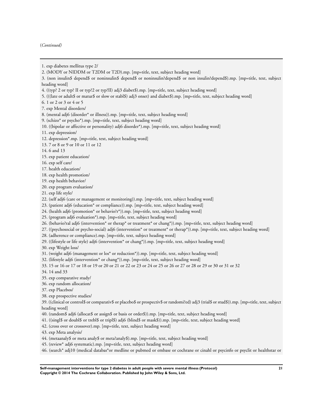7. exp Mental disorders/

- 9. (schizo\* or psycho\*).mp. [mp=title, text, subject heading word]
- 10. ((bipolar or affective or personality) adj6 disorder\*).mp. [mp=title, text, subject heading word]
- 11. exp depression/

- 13. 7 or 8 or 9 or 10 or 11 or 12
- 14. 6 and 13
- 15. exp patient education/
- 16. exp self care/
- 17. health education/
- 18. exp health promotion/
- 19. exp health behavior/
- 20. exp program evaluation/
- 21. exp life style/
- 22. (self adj6 (care or management or monitoring)).mp. [mp=title, text, subject heading word]

23. (patient adj6 (education\* or compliance)).mp. [mp=title, text, subject heading word]

- 24. (health adj6 (promotion\* or behavio?r\*)).mp. [mp=title, text, subject heading word]
- 25. (program adj6 evaluation\*).mp. [mp=title, text, subject heading word]
- 26. (behavio?ral adj6 (intervention\* or therap\* or treatment\* or chang\*)).mp. [mp=title, text, subject heading word]
- 27. ((psychosocial or psycho-social) adj6 (intervention\* or treatment\* or therap\*)).mp. [mp=title, text, subject heading word]
- 28. (adherence or compliance).mp. [mp=title, text, subject heading word]
- 29. ((lifestyle or life style) adj6 (intervention\* or chang\*)).mp. [mp=title, text, subject heading word]
- 30. exp Weight loss/
- 31. (weight adj6 (management or los\* or reduction\*)).mp. [mp=title, text, subject heading word]
- 32. (lifestyle adj6 (intervention\* or chang\*)).mp. [mp=title, text, subject heading word]
- 33. 15 or 16 or 17 or 18 or 19 or 20 or 21 or 22 or 23 or 24 or 25 or 26 or 27 or 28 or 29 or 30 or 31 or 32
- 34. 14 and 33
- 35. exp comparative study/
- 36. exp random allocation/
- 37. exp Placebos/
- 38. exp prospective studies/

39. ((clinical or control\$ or comparativ\$ or placebo\$ or prospectiv\$ or randomi?ed) adj3 (trial\$ or stud\$)).mp. [mp=title, text, subject heading word]

- 40. (random\$ adj6 (allocat\$ or assign\$ or basis or order\$)).mp. [mp=title, text, subject heading word]
- 41. ((singl\$ or doubl\$ or trebl\$ or tripl\$) adj6 (blind\$ or mask\$)).mp. [mp=title, text, subject heading word]
- 42. (cross over or crossover).mp. [mp=title, text, subject heading word]
- 43. exp Meta analysis/
- 44. (metaanaly\$ or meta analy\$ or meta?analy\$).mp. [mp=title, text, subject heading word]
- 45. (review\* adj6 systematic).mp. [mp=title, text, subject heading word]
- 46. (search\* adj10 (medical databas\*or medline or pubmed or embase or cochrane or cinahl or psycinfo or psyclit or healthstar or

**Self-management interventions for type 2 diabetes in adult people with severe mental illness (Protocol) 21 Copyright © 2014 The Cochrane Collaboration. Published by John Wiley & Sons, Ltd.**

<sup>1.</sup> exp diabetes mellitus type 2/

<sup>2. (</sup>MODY or NIDDM or T2DM or T2D).mp. [mp=title, text, subject heading word]

<sup>3. (</sup>non insulin\$ depend\$ or noninsulin\$ depend\$ or noninsulin?depend\$ or non insulin?depend\$).mp. [mp=title, text, subject heading word]

<sup>4. ((</sup>typ? 2 or typ? II or typ?2 or typ?II) adj3 diabet\$).mp. [mp=title, text, subject heading word]

<sup>5. (((</sup>late or adult\$ or matur\$ or slow or stabl\$) adj3 onset) and diabet\$).mp. [mp=title, text, subject heading word]

<sup>6. 1</sup> or 2 or 3 or 4 or 5

<sup>8. (</sup>mental adj6 (disorder\* or illness)).mp. [mp=title, text, subject heading word]

<sup>12.</sup> depression\*.mp. [mp=title, text, subject heading word]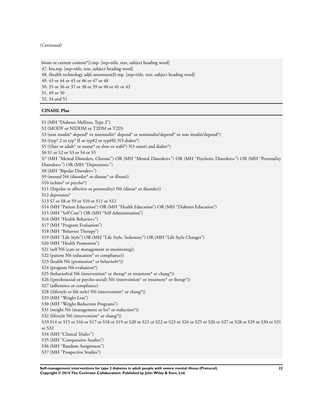biosis or current content\*)).mp. [mp=title, text, subject heading word] 47. hta.mp. [mp=title, text, subject heading word] 48. (health technology adj6 assessment\$).mp. [mp=title, text, subject heading word] 49. 43 or 44 or 45 or 46 or 47 or 48 50. 35 or 36 or 37 or 38 or 39 or 40 or 41 or 42 51. 49 or 50 52. 34 and 51

## **CINAHL Plus**

S1 (MH "Diabetes Mellitus, Type 2") S2 (MODY or NIDDM or T2DM or T2D) S3 (non insulin\* depend\* or noninsulin\* depend\* or noninsulin?depend\* or non insulin?depend\*) S4 ((typ\* 2 or typ\* II or typ#2 or typ#II) N3 diabet\*) S5 (((late or adult\* or matur\* or slow or stabl\*) N3 onset) and diabet\*) S6 S1 or S2 or S3 or S4 or S5 S7 (MH "Mental Disorders, Chronic") OR (MH "Mental Disorders+") OR (MH "Psychotic Disorders+") OR (MH "Personality Disorders+") OR (MH "Depression+") S8 (MH "Bipolar Disorder+") S9 (mental N6 (disorder\* or disease\* or illness)) S10 (schizo\* or psycho\*) S11 ((bipolar or affective or personality) N6 (diseas\* or disorder)) S12 depression\* S13 S7 or S8 or S9 or S10 or S11 or S12 S14 (MH "Patient Education") OR (MH "Health Education") OR (MH "Diabetes Education") S15 (MH "Self Care") OR (MH "Self Administration") S16 (MH "Health Behavior+") S17 (MH "Program Evaluation") S18 (MH "Behavior Therapy") S19 (MH "Life Style") OR (MH "Life Style, Sedentary") OR (MH "Life Style Changes") S20 (MH "Health Promotion") S21 (self N6 (care or management or monitoring)) S22 (patient N6 (education\* or compliance)) S23 (health N6 (promotion\* or behavio#r\*)) S24 (program N6 evaluation\*) S25 (behavio#ral N6 (intervention\* or therap\* or treatment\* or chang\*)) S26 ((psychosocial or psycho-social) N6 (intervention\* or treatment\* or therap\*)) S27 (adherence or compliance) S28 ((lifestyle or life style) N6 (intervention\* or chang\*)) S29 (MH "Weight Loss") S30 (MH "Weight Reduction Programs") S31 (weight N6 (management or los\* or reduction\*)) S32 (lifestyle N6 (intervention\* or chang\*)) S33 S14 or S15 or S16 or S17 or S18 or S19 or S20 or S21 or S22 or S23 or S24 or S25 or S26 or S27 or S28 or S29 or S30 or S31 or S32 S34 (MH "Clinical Trials+") S35 (MH "Comparative Studies") S36 (MH "Random Assignment") S37 (MH "Prospective Studies")

**Self-management interventions for type 2 diabetes in adult people with severe mental illness (Protocol) 22 Copyright © 2014 The Cochrane Collaboration. Published by John Wiley & Sons, Ltd.**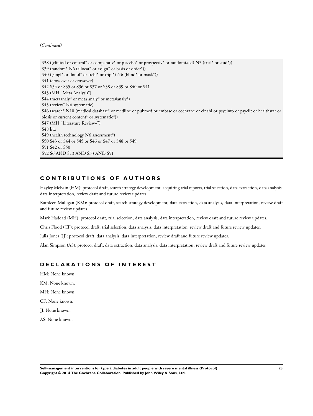S38 ((clinical or control\* or comparativ\* or placebo\* or prospectiv\* or randomi#ed) N3 (trial\* or stud\*)) S39 (random\* N6 (allocat\* or assign\* or basis or order\*)) S40 ((singl\* or doubl\* or trebl\* or tripl\*) N6 (blind\* or mask\*)) S41 (cross over or crossover) S42 S34 or S35 or S36 or S37 or S38 or S39 or S40 or S41 S43 (MH "Meta Analysis") S44 (metaanaly\* or meta analy\* or meta#analy\*) S45 (review\* N6 systematic) S46 (search\* N10 (medical database\* or medline or pubmed or embase or cochrane or cinahl or psycinfo or psyclit or healthstar or biosis or current content\* or systematic\*)) S47 (MH "Literature Review+") S48 hta S49 (health technology N6 assessment\*) S50 S43 or S44 or S45 or S46 or S47 or S48 or S49 S51 S42 or S50 S52 S6 AND S13 AND S33 AND S51

## **C O N T R I B U T I O N S O F A U T H O R S**

Hayley McBain (HM): protocol draft, search strategy development, acquiring trial reports, trial selection, data extraction, data analysis, data interpretation, review draft and future review updates.

Kathleen Mulligan (KM): protocol draft, search strategy development, data extraction, data analysis, data interpretation, review draft and future review updates.

Mark Haddad (MH): protocol draft, trial selection, data analysis, data interpretation, review draft and future review updates.

Chris Flood (CF): protocol draft, trial selection, data analysis, data interpretation, review draft and future review updates.

Julia Jones (JJ): protocol draft, data analysis, data interpretation, review draft and future review updates.

Alan Simpson (AS): protocol draft, data extraction, data analysis, data interpretation, review draft and future review updates

## **D E C L A R A T I O N S O F I N T E R E S T**

HM: None known.

- KM: None known.
- MH: None known.
- CF: None known.
- JJ: None known.
- AS: None known.